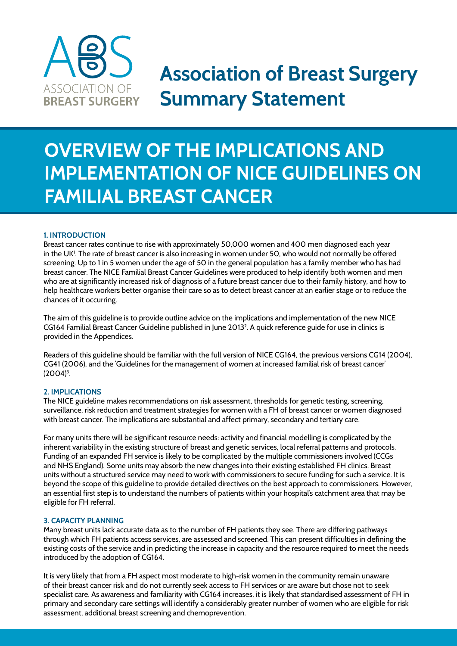

# **Association of Breast Surgery Summary Statement**

# **Overview of the Implications and Implementation of NICE Guidelines on Familial Breast Cancer**

### **1. Introduction**

Breast cancer rates continue to rise with approximately 50,000 women and 400 men diagnosed each year in the UK1 . The rate of breast cancer is also increasing in women under 50, who would not normally be offered screening. Up to 1 in 5 women under the age of 50 in the general population has a family member who has had breast cancer. The NICE Familial Breast Cancer Guidelines were produced to help identify both women and men who are at significantly increased risk of diagnosis of a future breast cancer due to their family history, and how to help healthcare workers better organise their care so as to detect breast cancer at an earlier stage or to reduce the chances of it occurring.

The aim of this guideline is to provide outline advice on the implications and implementation of the new NICE CG164 Familial Breast Cancer Guideline published in June 20132 . A quick reference guide for use in clinics is provided in the Appendices.

Readers of this guideline should be familiar with the full version of NICE CG164, the previous versions CG14 (2004), CG41 (2006), and the 'Guidelines for the management of women at increased familial risk of breast cancer' (2004)3 .

#### **2. Implications**

The NICE guideline makes recommendations on risk assessment, thresholds for genetic testing, screening, surveillance, risk reduction and treatment strategies for women with a FH of breast cancer or women diagnosed with breast cancer. The implications are substantial and affect primary, secondary and tertiary care.

For many units there will be significant resource needs: activity and financial modelling is complicated by the inherent variability in the existing structure of breast and genetic services, local referral patterns and protocols. Funding of an expanded FH service is likely to be complicated by the multiple commissioners involved (CCGs and NHS England). Some units may absorb the new changes into their existing established FH clinics. Breast units without a structured service may need to work with commissioners to secure funding for such a service. It is beyond the scope of this guideline to provide detailed directives on the best approach to commissioners. However, an essential first step is to understand the numbers of patients within your hospital's catchment area that may be eligible for FH referral.

#### **3. Capacity planning**

Many breast units lack accurate data as to the number of FH patients they see. There are differing pathways through which FH patients access services, are assessed and screened. This can present difficulties in defining the existing costs of the service and in predicting the increase in capacity and the resource required to meet the needs introduced by the adoption of CG164.

It is very likely that from a FH aspect most moderate to high-risk women in the community remain unaware of their breast cancer risk and do not currently seek access to FH services or are aware but chose not to seek specialist care. As awareness and familiarity with CG164 increases, it is likely that standardised assessment of FH in primary and secondary care settings will identify a considerably greater number of women who are eligible for risk assessment, additional breast screening and chemoprevention.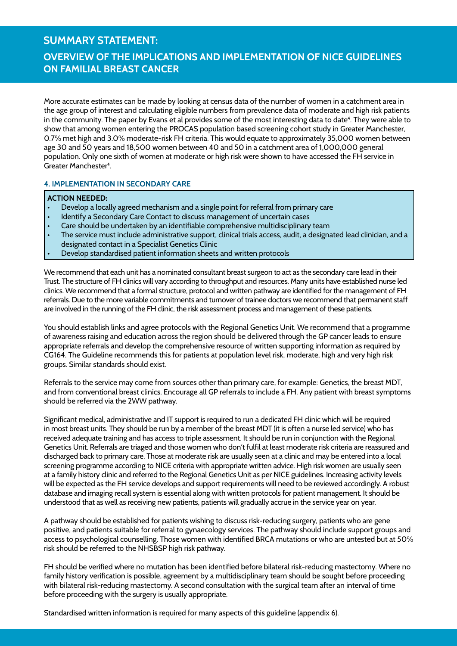### **Overview of the Implications and Implementation of NICE Guidelines on Familial Breast Cancer**

More accurate estimates can be made by looking at census data of the number of women in a catchment area in the age group of interest and calculating eligible numbers from prevalence data of moderate and high risk patients in the community. The paper by Evans et al provides some of the most interesting data to date<sup>4</sup>. They were able to show that among women entering the PROCAS population based screening cohort study in Greater Manchester, 0.7% met high and 3.0% moderate-risk FH criteria. This would equate to approximately 35,000 women between age 30 and 50 years and 18,500 women between 40 and 50 in a catchment area of 1,000,000 general population. Only one sixth of women at moderate or high risk were shown to have accessed the FH service in Greater Manchester<sup>4</sup>.

### **4. Implementation in Secondary Care**

#### **Action needed:**

- Develop a locally agreed mechanism and a single point for referral from primary care
- Identify a Secondary Care Contact to discuss management of uncertain cases
- Care should be undertaken by an identifiable comprehensive multidisciplinary team
- The service must include administrative support, clinical trials access, audit, a designated lead clinician, and a designated contact in a Specialist Genetics Clinic
- Develop standardised patient information sheets and written protocols

We recommend that each unit has a nominated consultant breast surgeon to act as the secondary care lead in their Trust. The structure of FH clinics will vary according to throughput and resources. Many units have established nurse led clinics. We recommend that a formal structure, protocol and written pathway are identified for the management of FH referrals. Due to the more variable commitments and turnover of trainee doctors we recommend that permanent staff are involved in the running of the FH clinic, the risk assessment process and management of these patients.

You should establish links and agree protocols with the Regional Genetics Unit. We recommend that a programme of awareness raising and education across the region should be delivered through the GP cancer leads to ensure appropriate referrals and develop the comprehensive resource of written supporting information as required by CG164. The Guideline recommends this for patients at population level risk, moderate, high and very high risk groups. Similar standards should exist.

Referrals to the service may come from sources other than primary care, for example: Genetics, the breast MDT, and from conventional breast clinics. Encourage all GP referrals to include a FH. Any patient with breast symptoms should be referred via the 2WW pathway.

Significant medical, administrative and IT support is required to run a dedicated FH clinic which will be required in most breast units. They should be run by a member of the breast MDT (it is often a nurse led service) who has received adequate training and has access to triple assessment. It should be run in conjunction with the Regional Genetics Unit. Referrals are triaged and those women who don't fulfil at least moderate risk criteria are reassured and discharged back to primary care. Those at moderate risk are usually seen at a clinic and may be entered into a local screening programme according to NICE criteria with appropriate written advice. High risk women are usually seen at a family history clinic and referred to the Regional Genetics Unit as per NICE guidelines. Increasing activity levels will be expected as the FH service develops and support requirements will need to be reviewed accordingly. A robust database and imaging recall system is essential along with written protocols for patient management. It should be understood that as well as receiving new patients, patients will gradually accrue in the service year on year.

A pathway should be established for patients wishing to discuss risk-reducing surgery, patients who are gene positive, and patients suitable for referral to gynaecology services. The pathway should include support groups and access to psychological counselling. Those women with identified BRCA mutations or who are untested but at 50% risk should be referred to the NHSBSP high risk pathway.

FH should be verified where no mutation has been identified before bilateral risk-reducing mastectomy. Where no family history verification is possible, agreement by a multidisciplinary team should be sought before proceeding with bilateral risk-reducing mastectomy. A second consultation with the surgical team after an interval of time before proceeding with the surgery is usually appropriate.

Standardised written information is required for many aspects of this guideline (appendix 6).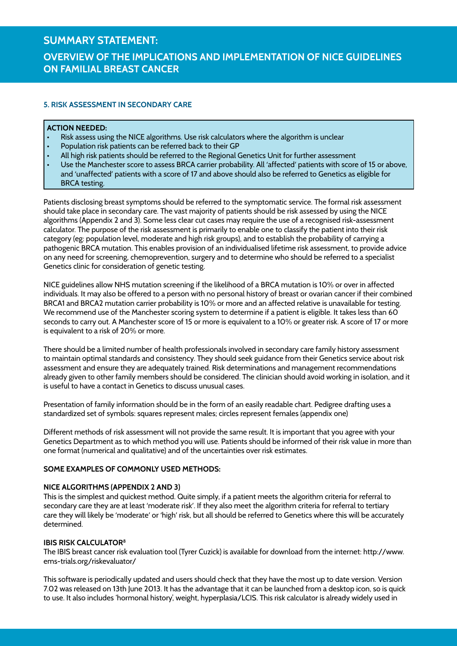# **Overview of the Implications and Implementation of NICE Guidelines on Familial Breast Cancer**

### **5. Risk Assessment in Secondary Care**

### **Action needed:**

- Risk assess using the NICE algorithms. Use risk calculators where the algorithm is unclear
- Population risk patients can be referred back to their GP
- All high risk patients should be referred to the Regional Genetics Unit for further assessment
- Use the Manchester score to assess BRCA carrier probability. All 'affected' patients with score of 15 or above, and 'unaffected' patients with a score of 17 and above should also be referred to Genetics as eligible for BRCA testing.

Patients disclosing breast symptoms should be referred to the symptomatic service. The formal risk assessment should take place in secondary care. The vast majority of patients should be risk assessed by using the NICE algorithms (Appendix 2 and 3). Some less clear cut cases may require the use of a recognised risk-assessment calculator. The purpose of the risk assessment is primarily to enable one to classify the patient into their risk category (eg: population level, moderate and high risk groups), and to establish the probability of carrying a pathogenic BRCA mutation. This enables provision of an individualised lifetime risk assessment, to provide advice on any need for screening, chemoprevention, surgery and to determine who should be referred to a specialist Genetics clinic for consideration of genetic testing.

NICE guidelines allow NHS mutation screening if the likelihood of a BRCA mutation is 10% or over in affected individuals. It may also be offered to a person with no personal history of breast or ovarian cancer if their combined BRCA1 and BRCA2 mutation carrier probability is 10% or more and an affected relative is unavailable for testing. We recommend use of the Manchester scoring system to determine if a patient is eligible. It takes less than 60 seconds to carry out. A Manchester score of 15 or more is equivalent to a 10% or greater risk. A score of 17 or more is equivalent to a risk of 20% or more.

There should be a limited number of health professionals involved in secondary care family history assessment to maintain optimal standards and consistency. They should seek guidance from their Genetics service about risk assessment and ensure they are adequately trained. Risk determinations and management recommendations already given to other family members should be considered. The clinician should avoid working in isolation, and it is useful to have a contact in Genetics to discuss unusual cases.

Presentation of family information should be in the form of an easily readable chart. Pedigree drafting uses a standardized set of symbols: squares represent males; circles represent females (appendix one)

Different methods of risk assessment will not provide the same result. It is important that you agree with your Genetics Department as to which method you will use. Patients should be informed of their risk value in more than one format (numerical and qualitative) and of the uncertainties over risk estimates.

### **Some examples of commonly used methods:**

### **NICE Algorithms (Appendix 2 and 3)**

This is the simplest and quickest method. Quite simply, if a patient meets the algorithm criteria for referral to secondary care they are at least 'moderate risk'. If they also meet the algorithm criteria for referral to tertiary care they will likely be 'moderate' or 'high' risk, but all should be referred to Genetics where this will be accurately determined.

### **IBIS RISK CALCULATOR<sup>8</sup>**

The IBIS breast cancer risk evaluation tool (Tyrer Cuzick) is available for download from the internet: http://www. ems-trials.org/riskevaluator/

This software is periodically updated and users should check that they have the most up to date version. Version 7.02 was released on 13th June 2013. It has the advantage that it can be launched from a desktop icon, so is quick to use. It also includes 'hormonal history', weight, hyperplasia/LCIS. This risk calculator is already widely used in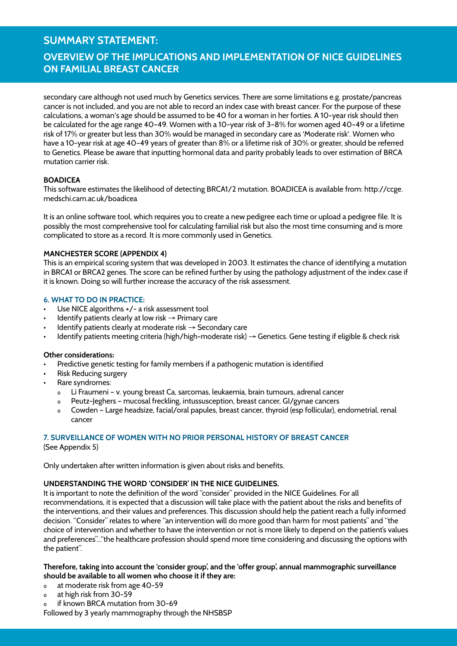### **Overview of the Implications and Implementation of NICE Guidelines on Familial Breast Cancer**

secondary care although not used much by Genetics services. There are some limitations e.g. prostate/pancreas cancer is not included, and you are not able to record an index case with breast cancer. For the purpose of these calculations, a woman's age should be assumed to be 40 for a woman in her forties. A 10-year risk should then be calculated for the age range 40–49. Women with a 10-year risk of 3–8% for women aged 40–49 or a lifetime risk of 17% or greater but less than 30% would be managed in secondary care as 'Moderate risk'. Women who have a 10-year risk at age 40–49 years of greater than 8% or a lifetime risk of 30% or greater, should be referred to Genetics. Please be aware that inputting hormonal data and parity probably leads to over estimation of BRCA mutation carrier risk.

### **BOADICEA**

This software estimates the likelihood of detecting BRCA1/2 mutation. BOADICEA is available from: http://ccge. medschi.cam.ac.uk/boadicea

It is an online software tool, which requires you to create a new pedigree each time or upload a pedigree file. It is possibly the most comprehensive tool for calculating familial risk but also the most time consuming and is more complicated to store as a record. It is more commonly used in Genetics.

### **Manchester Score (Appendix 4)**

This is an empirical scoring system that was developed in 2003. It estimates the chance of identifying a mutation in BRCA1 or BRCA2 genes. The score can be refined further by using the pathology adjustment of the index case if it is known. Doing so will further increase the accuracy of the risk assessment.

#### **6. What to do in practice:**

- Use NICE algorithms +/- a risk assessment tool
- Identify patients clearly at low risk  $\rightarrow$  Primary care
- Identify patients clearly at moderate risk  $\rightarrow$  Secondary care
- Identify patients meeting criteria (high/high-moderate risk) → Genetics. Gene testing if eligible & check risk

### **Other considerations:**

- Predictive genetic testing for family members if a pathogenic mutation is identified
- **Risk Reducing surgery**
- Rare syndromes:
	- ₀ Li Fraumeni v. young breast Ca, sarcomas, leukaemia, brain tumours, adrenal cancer
	- ₀ Peutz-Jeghers mucosal freckling, intussusception, breast cancer, GI/gynae cancers
	- ₀ Cowden Large headsize, facial/oral papules, breast cancer, thyroid (esp follicular), endometrial, renal cancer

### **7. Surveillance of women with no prior personal history of breast cancer**

(See Appendix 5)

Only undertaken after written information is given about risks and benefits.

### **Understanding the word 'consider' in the NICE guidelines.**

It is important to note the definition of the word "consider" provided in the NICE Guidelines. For all recommendations, it is expected that a discussion will take place with the patient about the risks and benefits of the interventions, and their values and preferences. This discussion should help the patient reach a fully informed decision. "Consider" relates to where "an intervention will do more good than harm for most patients" and "the choice of intervention and whether to have the intervention or not is more likely to depend on the patient's values and preferences"..."the healthcare profession should spend more time considering and discussing the options with the patient".

### **Therefore, taking into account the 'consider group', and the 'offer group', annual mammographic surveillance should be available to all women who choose it if they are:**

- ₀ at moderate risk from age 40-59
- ₀ at high risk from 30-59
- o if known BRCA mutation from 30-69

Followed by 3 yearly mammography through the NHSBSP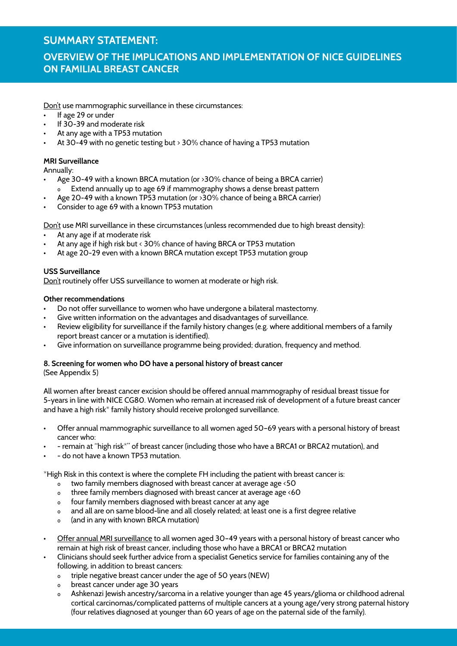### **Overview of the Implications and Implementation of NICE Guidelines on Familial Breast Cancer**

Don't use mammographic surveillance in these circumstances:

- If age 29 or under
- If 30-39 and moderate risk
- At any age with a TP53 mutation
- At 30-49 with no genetic testing but  $>$  30% chance of having a TP53 mutation

### **MRI Surveillance**

Annually:

- Age 30-49 with a known BRCA mutation (or >30% chance of being a BRCA carrier) Extend annually up to age 69 if mammography shows a dense breast pattern
- Age 20-49 with a known TP53 mutation (or  $>30\%$  chance of being a BRCA carrier)
- Consider to age 69 with a known TP53 mutation

Don't use MRI surveillance in these circumstances (unless recommended due to high breast density):

- At any age if at moderate risk
- At any age if high risk but < 30% chance of having BRCA or TP53 mutation
- At age 20-29 even with a known BRCA mutation except TP53 mutation group

### **USS Surveillance**

Don't routinely offer USS surveillance to women at moderate or high risk.

### **Other recommendations**

- Do not offer surveillance to women who have undergone a bilateral mastectomy.
- Give written information on the advantages and disadvantages of surveillance.
- Review eligibility for surveillance if the family history changes (e.g. where additional members of a family report breast cancer or a mutation is identified).
- Give information on surveillance programme being provided; duration, frequency and method.

#### **8. Screening for women who DO have a personal history of breast cancer** (See Appendix 5)

All women after breast cancer excision should be offered annual mammography of residual breast tissue for 5-years in line with NICE CG80. Women who remain at increased risk of development of a future breast cancer and have a high risk<sup>\*</sup> family history should receive prolonged surveillance.

- Offer annual mammographic surveillance to all women aged 50-69 years with a personal history of breast cancer who:
- remain at "high risk\*" of breast cancer (including those who have a BRCA1 or BRCA2 mutation), and
- do not have a known TP53 mutation.

\*High Risk in this context is where the complete FH including the patient with breast cancer is:

- $\overline{\phantom{a}}$  two family members diagnosed with breast cancer at average age <50
- ₀ three family members diagnosed with breast cancer at average age <60
- ₀ four family members diagnosed with breast cancer at any age
- ₀ and all are on same blood-line and all closely related; at least one is a first degree relative
- ₀ (and in any with known BRCA mutation)
- Offer annual MRI surveillance to all women aged 30-49 years with a personal history of breast cancer who remain at high risk of breast cancer, including those who have a BRCA1 or BRCA2 mutation
- Clinicians should seek further advice from a specialist Genetics service for families containing any of the following, in addition to breast cancers:
	- o triple negative breast cancer under the age of 50 years (NEW)<br>o breast cancer under age 30 years
	- breast cancer under age 30 years
	- ₀ Ashkenazi Jewish ancestry/sarcoma in a relative younger than age 45 years/glioma or childhood adrenal cortical carcinomas/complicated patterns of multiple cancers at a young age/very strong paternal history (four relatives diagnosed at younger than 60 years of age on the paternal side of the family).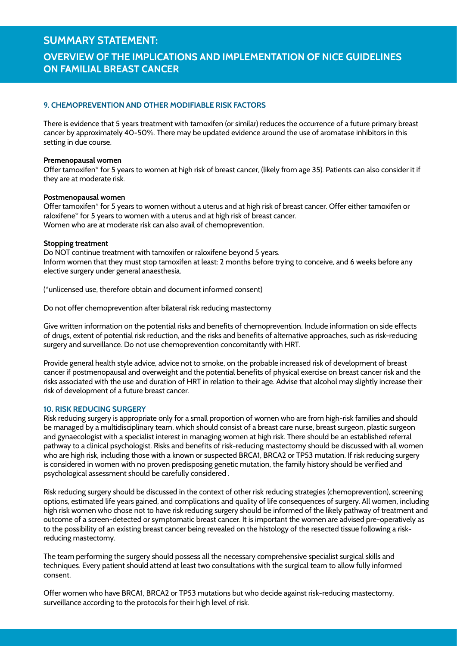# **Overview of the Implications and Implementation of NICE Guidelines on Familial Breast Cancer**

### **9. Chemoprevention and other modifiable risk factors**

There is evidence that 5 years treatment with tamoxifen (or similar) reduces the occurrence of a future primary breast cancer by approximately 40-50%. There may be updated evidence around the use of aromatase inhibitors in this setting in due course.

#### **Premenopausal women**

Offer tamoxifen<sup>\*</sup> for 5 years to women at high risk of breast cancer, (likely from age 35). Patients can also consider it if they are at moderate risk.

#### **Postmenopausal women**

Offer tamoxifen\* for 5 years to women without a uterus and at high risk of breast cancer. Offer either tamoxifen or raloxifene\* for 5 years to women with a uterus and at high risk of breast cancer. Women who are at moderate risk can also avail of chemoprevention.

#### **Stopping treatment**

Do NOT continue treatment with tamoxifen or raloxifene beyond 5 years. Inform women that they must stop tamoxifen at least: 2 months before trying to conceive, and 6 weeks before any elective surgery under general anaesthesia.

(\*unlicensed use, therefore obtain and document informed consent)

Do not offer chemoprevention after bilateral risk reducing mastectomy

Give written information on the potential risks and benefits of chemoprevention. Include information on side effects of drugs, extent of potential risk reduction, and the risks and benefits of alternative approaches, such as risk-reducing surgery and surveillance. Do not use chemoprevention concomitantly with HRT.

Provide general health style advice, advice not to smoke, on the probable increased risk of development of breast cancer if postmenopausal and overweight and the potential benefits of physical exercise on breast cancer risk and the risks associated with the use and duration of HRT in relation to their age. Advise that alcohol may slightly increase their risk of development of a future breast cancer.

#### **10. Risk Reducing Surgery**

Risk reducing surgery is appropriate only for a small proportion of women who are from high-risk families and should be managed by a multidisciplinary team, which should consist of a breast care nurse, breast surgeon, plastic surgeon and gynaecologist with a specialist interest in managing women at high risk. There should be an established referral pathway to a clinical psychologist. Risks and benefits of risk-reducing mastectomy should be discussed with all women who are high risk, including those with a known or suspected BRCA1, BRCA2 or TP53 mutation. If risk reducing surgery is considered in women with no proven predisposing genetic mutation, the family history should be verified and psychological assessment should be carefully considered .

Risk reducing surgery should be discussed in the context of other risk reducing strategies (chemoprevention), screening options, estimated life years gained, and complications and quality of life consequences of surgery. All women, including high risk women who chose not to have risk reducing surgery should be informed of the likely pathway of treatment and outcome of a screen-detected or symptomatic breast cancer. It is important the women are advised pre-operatively as to the possibility of an existing breast cancer being revealed on the histology of the resected tissue following a riskreducing mastectomy.

The team performing the surgery should possess all the necessary comprehensive specialist surgical skills and techniques. Every patient should attend at least two consultations with the surgical team to allow fully informed consent.

Offer women who have BRCA1, BRCA2 or TP53 mutations but who decide against risk-reducing mastectomy, surveillance according to the protocols for their high level of risk.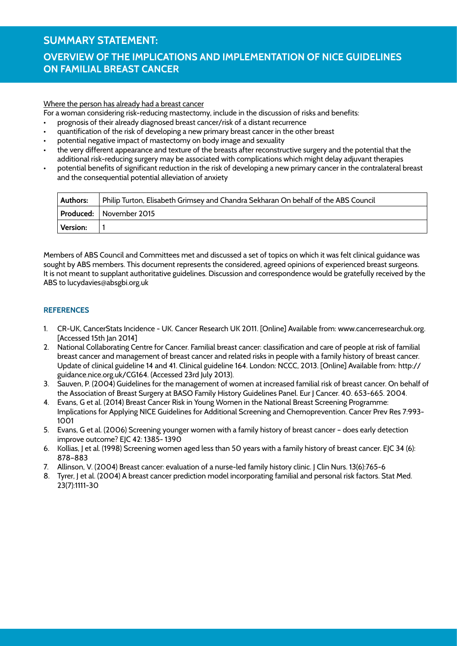# **Overview of the Implications and Implementation of NICE Guidelines on Familial Breast Cancer**

#### Where the person has already had a breast cancer

For a woman considering risk-reducing mastectomy, include in the discussion of risks and benefits:

- prognosis of their already diagnosed breast cancer/risk of a distant recurrence
- • quantification of the risk of developing a new primary breast cancer in the other breast
- potential negative impact of mastectomy on body image and sexuality
- the very different appearance and texture of the breasts after reconstructive surgery and the potential that the additional risk-reducing surgery may be associated with complications which might delay adjuvant therapies
- potential benefits of significant reduction in the risk of developing a new primary cancer in the contralateral breast and the consequential potential alleviation of anxiety

| <b>Authors:</b> | Philip Turton, Elisabeth Grimsey and Chandra Sekharan On behalf of the ABS Council |
|-----------------|------------------------------------------------------------------------------------|
|                 | <b>Produced:</b> November 2015                                                     |
| <b>Version:</b> |                                                                                    |

Members of ABS Council and Committees met and discussed a set of topics on which it was felt clinical guidance was sought by ABS members. This document represents the considered, agreed opinions of experienced breast surgeons. It is not meant to supplant authoritative guidelines. Discussion and correspondence would be gratefully received by the ABS to lucydavies@absgbi.org.uk

### **References**

- 1. CR-UK, CancerStats Incidence UK. Cancer Research UK 2011. [Online] Available from: www.cancerresearchuk.org. [Accessed 15th Jan 2014]
- 2. National Collaborating Centre for Cancer. Familial breast cancer: classification and care of people at risk of familial breast cancer and management of breast cancer and related risks in people with a family history of breast cancer. Update of clinical guideline 14 and 41. Clinical guideline 164. London: NCCC, 2013. [Online] Available from: http:// guidance.nice.org.uk/CG164. (Accessed 23rd July 2013).
- 3. Sauven, P. (2004) Guidelines for the management of women at increased familial risk of breast cancer. On behalf of the Association of Breast Surgery at BASO Family History Guidelines Panel. Eur J Cancer. 40. 653-665. 2004.
- 4. Evans, G et al. (2014) Breast Cancer Risk in Young Women in the National Breast Screening Programme: Implications for Applying NICE Guidelines for Additional Screening and Chemoprevention. Cancer Prev Res 7:993- 1001
- 5. Evans, G et al. (2006) Screening younger women with a family history of breast cancer does early detection improve outcome? EJC 42: 1385- 1390
- 6. Kollias, J et al. (1998) Screening women aged less than 50 years with a family history of breast cancer. EJC 34 (6): 878–883
- 7. Allinson, V. (2004) Breast cancer: evaluation of a nurse-led family history clinic. J Clin Nurs. 13(6):765-6
- 8. Tyrer, J et al. (2004) A breast cancer prediction model incorporating familial and personal risk factors. Stat Med. 23(7):1111-30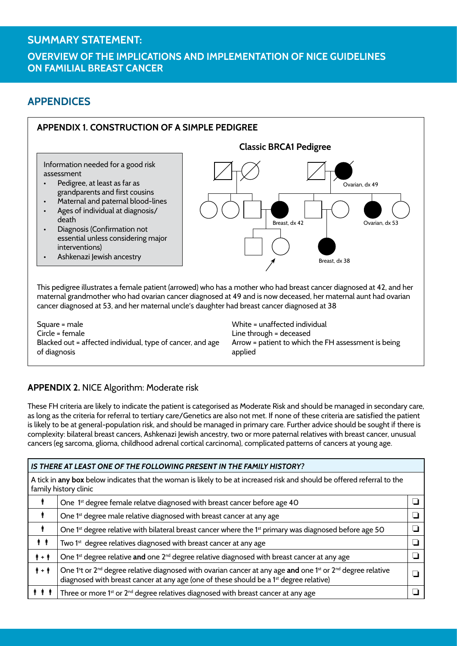### **Overview of the Implications and Implementation of NICE Guidelines on Familial Breast Cancer**

# **APPENDICES**



This pedigree illustrates a female patient (arrowed) who has a mother who had breast cancer diagnosed at 42, and her maternal grandmother who had ovarian cancer diagnosed at 49 and is now deceased, her maternal aunt had ovarian cancer diagnosed at 53, and her maternal uncle's daughter had breast cancer diagnosed at 38

Square = male Circle = female Blacked out = affected individual, type of cancer, and age of diagnosis

White = unaffected individual Line through = deceased Arrow = patient to which the FH assessment is being applied

### **Appendix 2.** NICE Algorithm: Moderate risk

These FH criteria are likely to indicate the patient is categorised as Moderate Risk and should be managed in secondary care, as long as the criteria for referral to tertiary care/Genetics are also not met. If none of these criteria are satisfied the patient is likely to be at general-population risk, and should be managed in primary care. Further advice should be sought if there is complexity: bilateral breast cancers, Ashkenazi Jewish ancestry, two or more paternal relatives with breast cancer, unusual cancers (eg sarcoma, glioma, childhood adrenal cortical carcinoma), complicated patterns of cancers at young age.

| IS THERE AT LEAST ONE OF THE FOLLOWING PRESENT IN THE FAMILY HISTORY?                                                                             |                                                                                                                                                                                                                                                                  |  |  |  |  |  |
|---------------------------------------------------------------------------------------------------------------------------------------------------|------------------------------------------------------------------------------------------------------------------------------------------------------------------------------------------------------------------------------------------------------------------|--|--|--|--|--|
| A tick in any box below indicates that the woman is likely to be at increased risk and should be offered referral to the<br>family history clinic |                                                                                                                                                                                                                                                                  |  |  |  |  |  |
|                                                                                                                                                   | One 1 <sup>st</sup> degree female relatve diagnosed with breast cancer before age 40                                                                                                                                                                             |  |  |  |  |  |
|                                                                                                                                                   | One 1 <sup>st</sup> degree male relative diagnosed with breast cancer at any age                                                                                                                                                                                 |  |  |  |  |  |
|                                                                                                                                                   | One 1st degree relative with bilateral breast cancer where the 1st primary was diagnosed before age 50                                                                                                                                                           |  |  |  |  |  |
| ŤŤ                                                                                                                                                | Two 1 <sup>st</sup> degree relatives diagnosed with breast cancer at any age                                                                                                                                                                                     |  |  |  |  |  |
| $\dot{\pmb{\Uparrow}} + \dot{\pmb{\Uparrow}}$                                                                                                     | One 1 <sup>st</sup> degree relative and one 2 <sup>nd</sup> degree relative diagnosed with breast cancer at any age                                                                                                                                              |  |  |  |  |  |
| $\dot{\pmb{\Uparrow}} + \dot{\pmb{\Uparrow}}$                                                                                                     | One 1 <sup>st</sup> or 2 <sup>nd</sup> degree relative diagnosed with ovarian cancer at any age and one 1 <sup>st</sup> or 2 <sup>nd</sup> degree relative<br>diagnosed with breast cancer at any age (one of these should be a 1 <sup>st</sup> degree relative) |  |  |  |  |  |
|                                                                                                                                                   | Three or more 1 <sup>st</sup> or 2 <sup>nd</sup> degree relatives diagnosed with breast cancer at any age                                                                                                                                                        |  |  |  |  |  |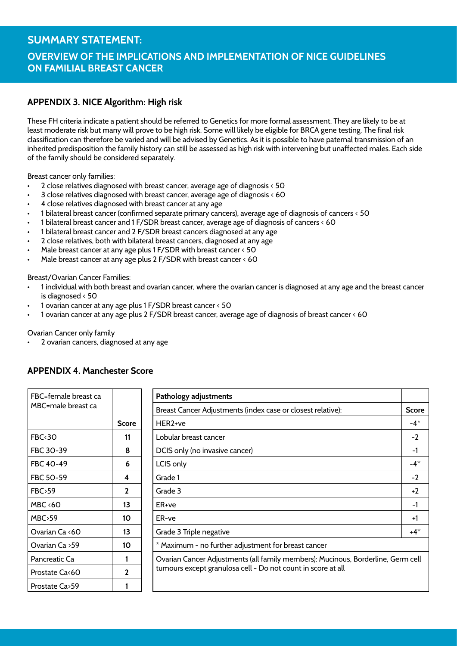# **SUMMARY STATEMENT: Overview of the Implications and Implementation of NICE Guidelines on Familial Breast Cancer**

### **Appendix 3. NICE Algorithm: High risk**

These FH criteria indicate a patient should be referred to Genetics for more formal assessment. They are likely to be at least moderate risk but many will prove to be high risk. Some will likely be eligible for BRCA gene testing. The final risk classification can therefore be varied and will be advised by Genetics. As it is possible to have paternal transmission of an inherited predisposition the family history can still be assessed as high risk with intervening but unaffected males. Each side of the family should be considered separately.

Breast cancer only families:

- • 2 close relatives diagnosed with breast cancer, average age of diagnosis < 50
- 3 close relatives diagnosed with breast cancer, average age of diagnosis  $\triangle 60$
- 4 close relatives diagnosed with breast cancer at any age
- 1 bilateral breast cancer (confirmed separate primary cancers), average age of diagnosis of cancers < 50
- 1 bilateral breast cancer and 1 F/SDR breast cancer, average age of diagnosis of cancers  $\epsilon$  60
- 1 bilateral breast cancer and 2 F/SDR breast cancers diagnosed at any age
- 2 close relatives, both with bilateral breast cancers, diagnosed at any age
- Male breast cancer at any age plus 1 F/SDR with breast cancer  $\leq 50$
- Male breast cancer at any age plus 2 F/SDR with breast cancer  $\leq 60$

Breast/Ovarian Cancer Families:

- 1 individual with both breast and ovarian cancer, where the ovarian cancer is diagnosed at any age and the breast cancer is diagnosed < 50
- 1 ovarian cancer at any age plus 1 F/SDR breast cancer < 50
- 1 ovarian cancer at any age plus 2 F/SDR breast cancer, average age of diagnosis of breast cancer < 60

Ovarian Cancer only family

2 ovarian cancers, diagnosed at any age

| FBC=female breast ca |              | Pathology adjustments                                                            |              |  |
|----------------------|--------------|----------------------------------------------------------------------------------|--------------|--|
| MBC=male breast ca   |              | Breast Cancer Adjustments (index case or closest relative):                      | <b>Score</b> |  |
|                      | <b>Score</b> | HER2+ve                                                                          | $-4^*$       |  |
| FBC <sub>30</sub>    | 11           | Lobular breast cancer                                                            | $-2$         |  |
| FBC 30-39            | 8            | DCIS only (no invasive cancer)                                                   | -1           |  |
| FBC 40-49            | 6            | LCIS only                                                                        | $-4^*$       |  |
| FBC 50-59            | 4            | Grade 1                                                                          | $-2$         |  |
| FBC > 59             | 2            | Grade 3                                                                          | $+2$         |  |
| $MBC \leq 60$        | 13           | ER+ve                                                                            | -1           |  |
| MBC > 59             | 10           | ER-ve                                                                            | +1           |  |
| Ovarian Ca <60       | 13           | Grade 3 Triple negative                                                          | $+4^*$       |  |
| Ovarian Ca > 59      | 10           | * Maximum - no further adjustment for breast cancer                              |              |  |
| Pancreatic Ca        |              | Ovarian Cancer Adjustments (all family members): Mucinous, Borderline, Germ cell |              |  |
| Prostate Ca<60       | $\mathbf{2}$ | tumours except granulosa cell - Do not count in score at all                     |              |  |
| Prostate Ca>59       |              |                                                                                  |              |  |

### **Appendix 4. Manchester Score**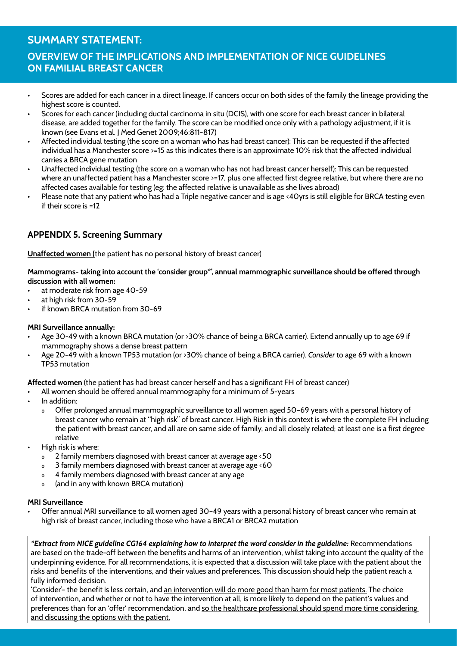# **SUMMARY STATEMENT: Overview of the Implications and Implementation of NICE Guidelines on Familial Breast Cancer**

- • Scores are added for each cancer in a direct lineage. If cancers occur on both sides of the family the lineage providing the highest score is counted.
- Scores for each cancer (including ductal carcinoma in situ (DCIS), with one score for each breast cancer in bilateral disease, are added together for the family. The score can be modified once only with a pathology adjustment, if it is known (see Evans et al. J Med Genet 2009;46:811-817)
- Affected individual testing (the score on a woman who has had breast cancer): This can be requested if the affected individual has a Manchester score >=15 as this indicates there is an approximate 10% risk that the affected individual carries a BRCA gene mutation
- Unaffected individual testing (the score on a woman who has not had breast cancer herself): This can be requested where an unaffected patient has a Manchester score >=17, plus one affected first degree relative, but where there are no affected cases available for testing (eg: the affected relative is unavailable as she lives abroad)
- Please note that any patient who has had a Triple negative cancer and is age <40yrs is still eligible for BRCA testing even if their score is =12

### **Appendix 5. Screening Summary**

**Unaffected women (**the patient has no personal history of breast cancer)

**Mammograms- taking into account the 'consider group\*', annual mammographic surveillance should be offered through discussion with all women:**

- at moderate risk from age 40-59
- at high risk from 30-59
- if known BRCA mutation from 30-69

### **MRI Surveillance annually:**

- Age 30-49 with a known BRCA mutation (or >30% chance of being a BRCA carrier). Extend annually up to age 69 if mammography shows a dense breast pattern
- Age 20-49 with a known TP53 mutation (or >30% chance of being a BRCA carrier). *Consider* to age 69 with a known TP53 mutation

**Affected women** (the patient has had breast cancer herself and has a significant FH of breast cancer)

- All women should be offered annual mammography for a minimum of 5-years
- In addition:
	- ₀ Offer prolonged annual mammographic surveillance to all women aged 50–69 years with a personal history of breast cancer who remain at "high risk" of breast cancer. High Risk in this context is where the complete FH including the patient with breast cancer, and all are on same side of family, and all closely related; at least one is a first degree relative
- High risk is where:
	- ₀ 2 family members diagnosed with breast cancer at average age <50
	- ₀ 3 family members diagnosed with breast cancer at average age <60
	- ₀ 4 family members diagnosed with breast cancer at any age
	- ₀ (and in any with known BRCA mutation)

### **MRI Surveillance**

Offer annual MRI surveillance to all women aged 30-49 years with a personal history of breast cancer who remain at high risk of breast cancer, including those who have a BRCA1 or BRCA2 mutation

*\*Extract from NICE guideline CG164 explaining how to interpret the word consider in the guideline:* Recommendations are based on the trade-off between the benefits and harms of an intervention, whilst taking into account the quality of the underpinning evidence. For all recommendations, it is expected that a discussion will take place with the patient about the risks and benefits of the interventions, and their values and preferences. This discussion should help the patient reach a fully informed decision.

'Consider'- the benefit is less certain, and an intervention will do more good than harm for most patients. The choice of intervention, and whether or not to have the intervention at all, is more likely to depend on the patient's values and preferences than for an 'offer' recommendation, and so the healthcare professional should spend more time considering and discussing the options with the patient.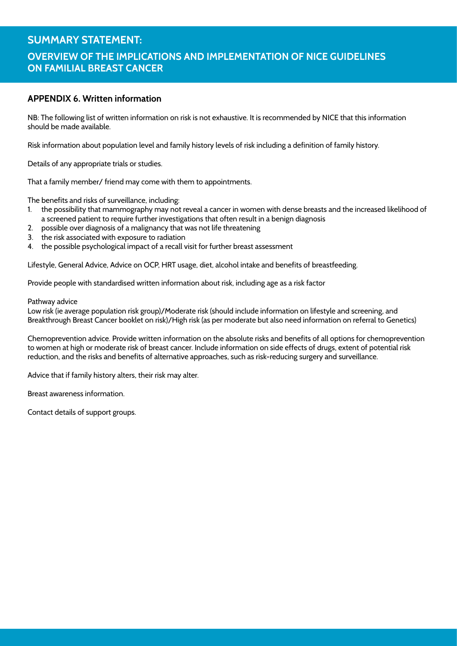# **SUMMARY STATEMENT: Overview of the Implications and Implementation of NICE Guidelines on Familial Breast Cancer**

### **Appendix 6. Written information**

NB: The following list of written information on risk is not exhaustive. It is recommended by NICE that this information should be made available.

Risk information about population level and family history levels of risk including a definition of family history.

Details of any appropriate trials or studies.

That a family member/ friend may come with them to appointments.

The benefits and risks of surveillance, including:

- 1. the possibility that mammography may not reveal a cancer in women with dense breasts and the increased likelihood of a screened patient to require further investigations that often result in a benign diagnosis
- 2. possible over diagnosis of a malignancy that was not life threatening
- 3. the risk associated with exposure to radiation
- 4. the possible psychological impact of a recall visit for further breast assessment

Lifestyle, General Advice, Advice on OCP, HRT usage, diet, alcohol intake and benefits of breastfeeding.

Provide people with standardised written information about risk, including age as a risk factor

#### Pathway advice

Low risk (ie average population risk group)/Moderate risk (should include information on lifestyle and screening, and Breakthrough Breast Cancer booklet on risk)/High risk (as per moderate but also need information on referral to Genetics)

Chemoprevention advice. Provide written information on the absolute risks and benefits of all options for chemoprevention to women at high or moderate risk of breast cancer. Include information on side effects of drugs, extent of potential risk reduction, and the risks and benefits of alternative approaches, such as risk-reducing surgery and surveillance.

Advice that if family history alters, their risk may alter.

Breast awareness information.

Contact details of support groups.